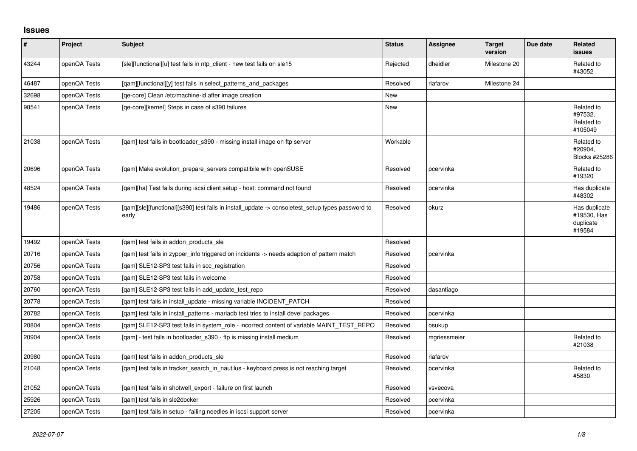## **Issues**

| $\sharp$ | Project      | Subject                                                                                                   | <b>Status</b> | <b>Assignee</b> | <b>Target</b><br>version | Due date | <b>Related</b><br><b>issues</b>                     |
|----------|--------------|-----------------------------------------------------------------------------------------------------------|---------------|-----------------|--------------------------|----------|-----------------------------------------------------|
| 43244    | openQA Tests | [sle][functional][u] test fails in ntp_client - new test fails on sle15                                   | Rejected      | dheidler        | Milestone 20             |          | Related to<br>#43052                                |
| 46487    | openQA Tests | [qam][functional][y] test fails in select_patterns_and_packages                                           | Resolved      | riafarov        | Milestone 24             |          |                                                     |
| 32698    | openQA Tests | [ge-core] Clean /etc/machine-id after image creation                                                      | New           |                 |                          |          |                                                     |
| 98541    | openQA Tests | [ge-core][kernel] Steps in case of s390 failures                                                          | New           |                 |                          |          | Related to<br>#97532,<br>Related to<br>#105049      |
| 21038    | openQA Tests | [gam] test fails in bootloader s390 - missing install image on ftp server                                 | Workable      |                 |                          |          | Related to<br>#20904.<br>Blocks #25286              |
| 20696    | openQA Tests | [qam] Make evolution_prepare_servers compatibile with openSUSE                                            | Resolved      | pcervinka       |                          |          | Related to<br>#19320                                |
| 48524    | openQA Tests | [gam][ha] Test fails during iscsi client setup - host: command not found                                  | Resolved      | pcervinka       |                          |          | Has duplicate<br>#48302                             |
| 19486    | openQA Tests | [qam][sle][functional][s390] test fails in install_update -> consoletest_setup types password to<br>early | Resolved      | okurz           |                          |          | Has duplicate<br>#19530, Has<br>duplicate<br>#19584 |
| 19492    | openQA Tests | [gam] test fails in addon products sle                                                                    | Resolved      |                 |                          |          |                                                     |
| 20716    | openQA Tests | [qam] test fails in zypper_info triggered on incidents -> needs adaption of pattern match                 | Resolved      | pcervinka       |                          |          |                                                     |
| 20756    | openQA Tests | [gam] SLE12-SP3 test fails in scc registration                                                            | Resolved      |                 |                          |          |                                                     |
| 20758    | openQA Tests | [gam] SLE12-SP3 test fails in welcome                                                                     | Resolved      |                 |                          |          |                                                     |
| 20760    | openQA Tests | [qam] SLE12-SP3 test fails in add_update_test_repo                                                        | Resolved      | dasantiago      |                          |          |                                                     |
| 20778    | openQA Tests | [gam] test fails in install update - missing variable INCIDENT PATCH                                      | Resolved      |                 |                          |          |                                                     |
| 20782    | openQA Tests | [qam] test fails in install_patterns - mariadb test tries to install devel packages                       | Resolved      | pcervinka       |                          |          |                                                     |
| 20804    | openQA Tests | [gam] SLE12-SP3 test fails in system role - incorrect content of variable MAINT TEST REPO                 | Resolved      | osukup          |                          |          |                                                     |
| 20904    | openQA Tests | [gam] - test fails in bootloader s390 - ftp is missing install medium                                     | Resolved      | mgriessmeier    |                          |          | Related to<br>#21038                                |
| 20980    | openQA Tests | [gam] test fails in addon products sle                                                                    | Resolved      | riafarov        |                          |          |                                                     |
| 21048    | openQA Tests | [gam] test fails in tracker search in nautilus - keyboard press is not reaching target                    | Resolved      | pcervinka       |                          |          | Related to<br>#5830                                 |
| 21052    | openQA Tests | [qam] test fails in shotwell_export - failure on first launch                                             | Resolved      | vsvecova        |                          |          |                                                     |
| 25926    | openQA Tests | [gam] test fails in sle2docker                                                                            | Resolved      | pcervinka       |                          |          |                                                     |
| 27205    | openQA Tests | [gam] test fails in setup - failing needles in iscsi support server                                       | Resolved      | pcervinka       |                          |          |                                                     |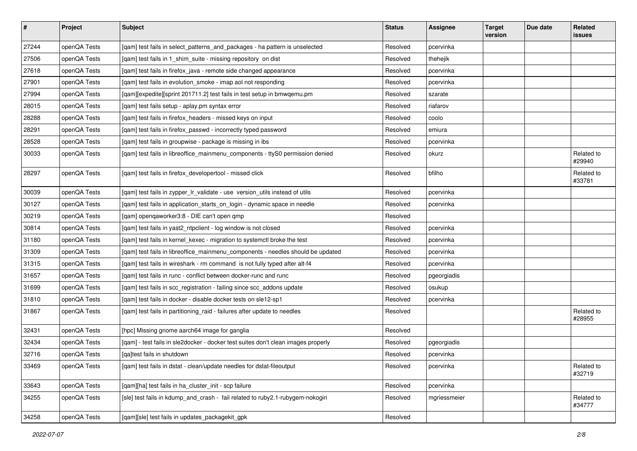| $\vert$ # | Project      | <b>Subject</b>                                                                    | <b>Status</b> | Assignee     | <b>Target</b><br>version | Due date | Related<br><b>issues</b> |
|-----------|--------------|-----------------------------------------------------------------------------------|---------------|--------------|--------------------------|----------|--------------------------|
| 27244     | openQA Tests | [qam] test fails in select_patterns_and_packages - ha pattern is unselected       | Resolved      | pcervinka    |                          |          |                          |
| 27506     | openQA Tests | [gam] test fails in 1 shim suite - missing repository on dist                     | Resolved      | thehejik     |                          |          |                          |
| 27618     | openQA Tests | [qam] test fails in firefox_java - remote side changed appearance                 | Resolved      | pcervinka    |                          |          |                          |
| 27901     | openQA Tests | [qam] test fails in evolution_smoke - imap aol not responding                     | Resolved      | pcervinka    |                          |          |                          |
| 27994     | openQA Tests | [qam][expedite][sprint 201711.2] test fails in test setup in bmwqemu.pm           | Resolved      | szarate      |                          |          |                          |
| 28015     | openQA Tests | [qam] test fails setup - aplay.pm syntax error                                    | Resolved      | riafarov     |                          |          |                          |
| 28288     | openQA Tests | [qam] test fails in firefox_headers - missed keys on input                        | Resolved      | coolo        |                          |          |                          |
| 28291     | openQA Tests | [qam] test fails in firefox_passwd - incorrectly typed password                   | Resolved      | emiura       |                          |          |                          |
| 28528     | openQA Tests | [qam] test fails in groupwise - package is missing in ibs                         | Resolved      | pcervinka    |                          |          |                          |
| 30033     | openQA Tests | [qam] test fails in libreoffice_mainmenu_components - ttyS0 permission denied     | Resolved      | okurz        |                          |          | Related to<br>#29940     |
| 28297     | openQA Tests | [qam] test fails in firefox_developertool - missed click                          | Resolved      | bfilho       |                          |          | Related to<br>#33781     |
| 30039     | openQA Tests | [qam] test fails in zypper_lr_validate - use version_utils instead of utils       | Resolved      | pcervinka    |                          |          |                          |
| 30127     | openQA Tests | [qam] test fails in application_starts_on_login - dynamic space in needle         | Resolved      | pcervinka    |                          |          |                          |
| 30219     | openQA Tests | [qam] openqaworker3:8 - DIE can't open qmp                                        | Resolved      |              |                          |          |                          |
| 30814     | openQA Tests | [qam] test fails in yast2_ntpclient - log window is not closed                    | Resolved      | pcervinka    |                          |          |                          |
| 31180     | openQA Tests | [qam] test fails in kernel_kexec - migration to systemctl broke the test          | Resolved      | pcervinka    |                          |          |                          |
| 31309     | openQA Tests | [qam] test fails in libreoffice_mainmenu_components - needles should be updated   | Resolved      | pcervinka    |                          |          |                          |
| 31315     | openQA Tests | [qam] test fails in wireshark - rm command is not fully typed after alt-f4        | Resolved      | pcervinka    |                          |          |                          |
| 31657     | openQA Tests | [qam] test fails in runc - conflict between docker-runc and runc                  | Resolved      | pgeorgiadis  |                          |          |                          |
| 31699     | openQA Tests | [qam] test fails in scc_registration - failing since scc_addons update            | Resolved      | osukup       |                          |          |                          |
| 31810     | openQA Tests | [qam] test fails in docker - disable docker tests on sle12-sp1                    | Resolved      | pcervinka    |                          |          |                          |
| 31867     | openQA Tests | [qam] test fails in partitioning_raid - failures after update to needles          | Resolved      |              |                          |          | Related to<br>#28955     |
| 32431     | openQA Tests | [hpc] Missing gnome aarch64 image for ganglia                                     | Resolved      |              |                          |          |                          |
| 32434     | openQA Tests | [qam] - test fails in sle2docker - docker test suites don't clean images properly | Resolved      | pgeorgiadis  |                          |          |                          |
| 32716     | openQA Tests | [qa]test fails in shutdown                                                        | Resolved      | pcervinka    |                          |          |                          |
| 33469     | openQA Tests | [qam] test fails in dstat - clean/update needles for dstat-fileoutput             | Resolved      | pcervinka    |                          |          | Related to<br>#32719     |
| 33643     | openQA Tests | [qam][ha] test fails in ha_cluster_init - scp failure                             | Resolved      | pcervinka    |                          |          |                          |
| 34255     | openQA Tests | [sle] test fails in kdump_and_crash - fail related to ruby2.1-rubygem-nokogiri    | Resolved      | mgriessmeier |                          |          | Related to<br>#34777     |
| 34258     | openQA Tests | [qam][sle] test fails in updates_packagekit_gpk                                   | Resolved      |              |                          |          |                          |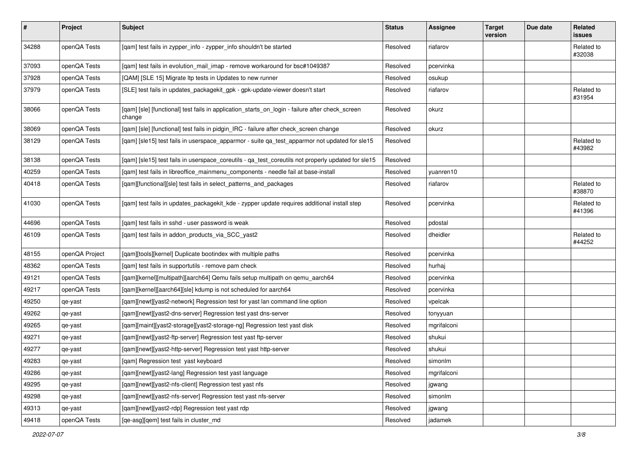| $\sharp$ | Project        | <b>Subject</b>                                                                                            | <b>Status</b> | Assignee    | <b>Target</b><br>version | Due date | Related<br>issues    |
|----------|----------------|-----------------------------------------------------------------------------------------------------------|---------------|-------------|--------------------------|----------|----------------------|
| 34288    | openQA Tests   | [qam] test fails in zypper_info - zypper_info shouldn't be started                                        | Resolved      | riafarov    |                          |          | Related to<br>#32038 |
| 37093    | openQA Tests   | [qam] test fails in evolution_mail_imap - remove workaround for bsc#1049387                               | Resolved      | pcervinka   |                          |          |                      |
| 37928    | openQA Tests   | [QAM] [SLE 15] Migrate Itp tests in Updates to new runner                                                 | Resolved      | osukup      |                          |          |                      |
| 37979    | openQA Tests   | [SLE] test fails in updates_packagekit_gpk - gpk-update-viewer doesn't start                              | Resolved      | riafarov    |                          |          | Related to<br>#31954 |
| 38066    | openQA Tests   | [qam] [sle] [functional] test fails in application_starts_on_login - failure after check_screen<br>change | Resolved      | okurz       |                          |          |                      |
| 38069    | openQA Tests   | [qam] [sle] [functional] test fails in pidgin_IRC - failure after check_screen change                     | Resolved      | okurz       |                          |          |                      |
| 38129    | openQA Tests   | [qam] [sle15] test fails in userspace_apparmor - suite qa_test_apparmor not updated for sle15             | Resolved      |             |                          |          | Related to<br>#43982 |
| 38138    | openQA Tests   | [qam] [sle15] test fails in userspace_coreutils - qa_test_coreutils not properly updated for sle15        | Resolved      |             |                          |          |                      |
| 40259    | openQA Tests   | [qam] test fails in libreoffice_mainmenu_components - needle fail at base-install                         | Resolved      | yuanren10   |                          |          |                      |
| 40418    | openQA Tests   | [qam][functional][sle] test fails in select_patterns_and_packages                                         | Resolved      | riafarov    |                          |          | Related to<br>#38870 |
| 41030    | openQA Tests   | [qam] test fails in updates_packagekit_kde - zypper update requires additional install step               | Resolved      | pcervinka   |                          |          | Related to<br>#41396 |
| 44696    | openQA Tests   | [gam] test fails in sshd - user password is weak                                                          | Resolved      | pdostal     |                          |          |                      |
| 46109    | openQA Tests   | [qam] test fails in addon_products_via_SCC_yast2                                                          | Resolved      | dheidler    |                          |          | Related to<br>#44252 |
| 48155    | openQA Project | [gam][tools][kernel] Duplicate bootindex with multiple paths                                              | Resolved      | pcervinka   |                          |          |                      |
| 48362    | openQA Tests   | [qam] test fails in supportutils - remove pam check                                                       | Resolved      | hurhaj      |                          |          |                      |
| 49121    | openQA Tests   | [gam][kernel][multipath][aarch64] Qemu fails setup multipath on gemu aarch64                              | Resolved      | pcervinka   |                          |          |                      |
| 49217    | openQA Tests   | [qam][kernel][aarch64][sle] kdump is not scheduled for aarch64                                            | Resolved      | pcervinka   |                          |          |                      |
| 49250    | qe-yast        | [qam][newt][yast2-network] Regression test for yast lan command line option                               | Resolved      | vpelcak     |                          |          |                      |
| 49262    | qe-yast        | [qam][newt][yast2-dns-server] Regression test yast dns-server                                             | Resolved      | tonyyuan    |                          |          |                      |
| 49265    | qe-yast        | [qam][maint][yast2-storage][yast2-storage-ng] Regression test yast disk                                   | Resolved      | mgrifalconi |                          |          |                      |
| 49271    | qe-yast        | [qam][newt][yast2-ftp-server] Regression test yast ftp-server                                             | Resolved      | shukui      |                          |          |                      |
| 49277    | qe-yast        | [qam][newt][yast2-http-server] Regression test yast http-server                                           | Resolved      | shukui      |                          |          |                      |
| 49283    | qe-yast        | [qam] Regression test yast keyboard                                                                       | Resolved      | simonlm     |                          |          |                      |
| 49286    | qe-yast        | [gam][newt][yast2-lang] Regression test yast language                                                     | Resolved      | mgrifalconi |                          |          |                      |
| 49295    | qe-yast        | [qam][newt][yast2-nfs-client] Regression test yast nfs                                                    | Resolved      | jgwang      |                          |          |                      |
| 49298    | qe-yast        | [qam][newt][yast2-nfs-server] Regression test yast nfs-server                                             | Resolved      | simonlm     |                          |          |                      |
| 49313    | qe-yast        | [qam][newt][yast2-rdp] Regression test yast rdp                                                           | Resolved      | jgwang      |                          |          |                      |
| 49418    | openQA Tests   | [qe-asg][qem] test fails in cluster_md                                                                    | Resolved      | jadamek     |                          |          |                      |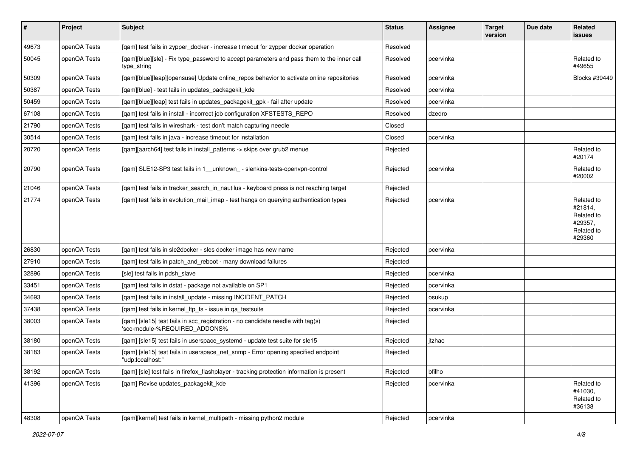| $\vert$ # | Project      | <b>Subject</b>                                                                                                  | <b>Status</b> | <b>Assignee</b> | <b>Target</b><br>version | Due date | Related<br>issues                                                      |
|-----------|--------------|-----------------------------------------------------------------------------------------------------------------|---------------|-----------------|--------------------------|----------|------------------------------------------------------------------------|
| 49673     | openQA Tests | [qam] test fails in zypper_docker - increase timeout for zypper docker operation                                | Resolved      |                 |                          |          |                                                                        |
| 50045     | openQA Tests | [qam][blue][sle] - Fix type_password to accept parameters and pass them to the inner call<br>type_string        | Resolved      | pcervinka       |                          |          | Related to<br>#49655                                                   |
| 50309     | openQA Tests | [qam][blue][leap][opensuse] Update online_repos behavior to activate online repositories                        | Resolved      | pcervinka       |                          |          | Blocks #39449                                                          |
| 50387     | openQA Tests | [gam][blue] - test fails in updates packagekit kde                                                              | Resolved      | pcervinka       |                          |          |                                                                        |
| 50459     | openQA Tests | [qam][blue][leap] test fails in updates_packagekit_gpk - fail after update                                      | Resolved      | pcervinka       |                          |          |                                                                        |
| 67108     | openQA Tests | [gam] test fails in install - incorrect job configuration XFSTESTS REPO                                         | Resolved      | dzedro          |                          |          |                                                                        |
| 21790     | openQA Tests | [gam] test fails in wireshark - test don't match capturing needle                                               | Closed        |                 |                          |          |                                                                        |
| 30514     | openQA Tests | [qam] test fails in java - increase timeout for installation                                                    | Closed        | pcervinka       |                          |          |                                                                        |
| 20720     | openQA Tests | [gam][aarch64] test fails in install patterns -> skips over grub2 menue                                         | Rejected      |                 |                          |          | Related to<br>#20174                                                   |
| 20790     | openQA Tests | [qam] SLE12-SP3 test fails in 1_unknown_- slenkins-tests-openvpn-control                                        | Rejected      | pcervinka       |                          |          | Related to<br>#20002                                                   |
| 21046     | openQA Tests | [qam] test fails in tracker_search_in_nautilus - keyboard press is not reaching target                          | Rejected      |                 |                          |          |                                                                        |
| 21774     | openQA Tests | [gam] test fails in evolution mail imap - test hangs on querying authentication types                           | Rejected      | pcervinka       |                          |          | Related to<br>#21814,<br>Related to<br>#29357,<br>Related to<br>#29360 |
| 26830     | openQA Tests | [gam] test fails in sle2docker - sles docker image has new name                                                 | Rejected      | pcervinka       |                          |          |                                                                        |
| 27910     | openQA Tests | [gam] test fails in patch and reboot - many download failures                                                   | Rejected      |                 |                          |          |                                                                        |
| 32896     | openQA Tests | [sle] test fails in pdsh_slave                                                                                  | Rejected      | pcervinka       |                          |          |                                                                        |
| 33451     | openQA Tests | [qam] test fails in dstat - package not available on SP1                                                        | Rejected      | pcervinka       |                          |          |                                                                        |
| 34693     | openQA Tests | [qam] test fails in install_update - missing INCIDENT_PATCH                                                     | Rejected      | osukup          |                          |          |                                                                        |
| 37438     | openQA Tests | [qam] test fails in kernel_ltp_fs - issue in qa_testsuite                                                       | Rejected      | pcervinka       |                          |          |                                                                        |
| 38003     | openQA Tests | [qam] [sle15] test fails in scc_registration - no candidate needle with tag(s)<br>'scc-module-%REQUIRED_ADDONS% | Rejected      |                 |                          |          |                                                                        |
| 38180     | openQA Tests | [gam] [sle15] test fails in userspace systemd - update test suite for sle15                                     | Rejected      | jtzhao          |                          |          |                                                                        |
| 38183     | openQA Tests | [qam] [sle15] test fails in userspace_net_snmp - Error opening specified endpoint<br>"udp:localhost:"           | Rejected      |                 |                          |          |                                                                        |
| 38192     | openQA Tests | [gam] [sle] test fails in firefox flashplayer - tracking protection information is present                      | Rejected      | bfilho          |                          |          |                                                                        |
| 41396     | openQA Tests | [qam] Revise updates_packagekit_kde                                                                             | Rejected      | pcervinka       |                          |          | Related to<br>#41030,<br>Related to<br>#36138                          |
| 48308     | openQA Tests | [qam][kernel] test fails in kernel_multipath - missing python2 module                                           | Rejected      | pcervinka       |                          |          |                                                                        |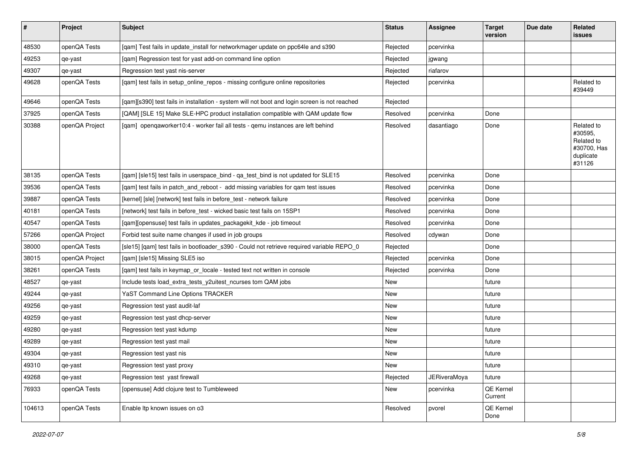| $\sharp$ | Project        | <b>Subject</b>                                                                                | <b>Status</b> | Assignee     | <b>Target</b><br>version | Due date | <b>Related</b><br>issues                                                  |
|----------|----------------|-----------------------------------------------------------------------------------------------|---------------|--------------|--------------------------|----------|---------------------------------------------------------------------------|
| 48530    | openQA Tests   | [qam] Test fails in update_install for networkmager update on ppc64le and s390                | Rejected      | pcervinka    |                          |          |                                                                           |
| 49253    | qe-yast        | [gam] Regression test for yast add-on command line option                                     | Rejected      | jgwang       |                          |          |                                                                           |
| 49307    | qe-yast        | Regression test yast nis-server                                                               | Rejected      | riafarov     |                          |          |                                                                           |
| 49628    | openQA Tests   | [qam] test fails in setup_online_repos - missing configure online repositories                | Rejected      | pcervinka    |                          |          | Related to<br>#39449                                                      |
| 49646    | openQA Tests   | [qam][s390] test fails in installation - system will not boot and login screen is not reached | Rejected      |              |                          |          |                                                                           |
| 37925    | openQA Tests   | [QAM] [SLE 15] Make SLE-HPC product installation compatible with QAM update flow              | Resolved      | pcervinka    | Done                     |          |                                                                           |
| 30388    | openQA Project | [gam] opengaworker10:4 - worker fail all tests - gemu instances are left behind               | Resolved      | dasantiago   | Done                     |          | Related to<br>#30595,<br>Related to<br>#30700, Has<br>duplicate<br>#31126 |
| 38135    | openQA Tests   | [qam] [sle15] test fails in userspace_bind - qa_test_bind is not updated for SLE15            | Resolved      | pcervinka    | Done                     |          |                                                                           |
| 39536    | openQA Tests   | [qam] test fails in patch_and_reboot - add missing variables for qam test issues              | Resolved      | pcervinka    | Done                     |          |                                                                           |
| 39887    | openQA Tests   | [kernel] [sle] [network] test fails in before test - network failure                          | Resolved      | pcervinka    | Done                     |          |                                                                           |
| 40181    | openQA Tests   | [network] test fails in before_test - wicked basic test fails on 15SP1                        | Resolved      | pcervinka    | Done                     |          |                                                                           |
| 40547    | openQA Tests   | [qam][opensuse] test fails in updates_packagekit_kde - job timeout                            | Resolved      | pcervinka    | Done                     |          |                                                                           |
| 57266    | openQA Project | Forbid test suite name changes if used in job groups                                          | Resolved      | cdywan       | Done                     |          |                                                                           |
| 38000    | openQA Tests   | [sle15] [qam] test fails in bootloader_s390 - Could not retrieve required variable REPO_0     | Rejected      |              | Done                     |          |                                                                           |
| 38015    | openQA Project | [qam] [sle15] Missing SLE5 iso                                                                | Rejected      | pcervinka    | Done                     |          |                                                                           |
| 38261    | openQA Tests   | [qam] test fails in keymap_or_locale - tested text not written in console                     | Rejected      | pcervinka    | Done                     |          |                                                                           |
| 48527    | qe-yast        | Include tests load_extra_tests_y2uitest_ncurses tom QAM jobs                                  | New           |              | future                   |          |                                                                           |
| 49244    | qe-yast        | YaST Command Line Options TRACKER                                                             | New           |              | future                   |          |                                                                           |
| 49256    | qe-yast        | Regression test yast audit-laf                                                                | New           |              | future                   |          |                                                                           |
| 49259    | qe-yast        | Regression test yast dhcp-server                                                              | New           |              | future                   |          |                                                                           |
| 49280    | qe-yast        | Regression test yast kdump                                                                    | New           |              | future                   |          |                                                                           |
| 49289    | qe-yast        | Regression test yast mail                                                                     | New           |              | future                   |          |                                                                           |
| 49304    | qe-yast        | Regression test yast nis                                                                      | New           |              | future                   |          |                                                                           |
| 49310    | qe-yast        | Regression test yast proxy                                                                    | New           |              | future                   |          |                                                                           |
| 49268    | qe-yast        | Regression test yast firewall                                                                 | Rejected      | JERiveraMoya | future                   |          |                                                                           |
| 76933    | openQA Tests   | [opensuse] Add clojure test to Tumbleweed                                                     | New           | pcervinka    | QE Kernel<br>Current     |          |                                                                           |
| 104613   | openQA Tests   | Enable Itp known issues on o3                                                                 | Resolved      | pvorel       | QE Kernel<br>Done        |          |                                                                           |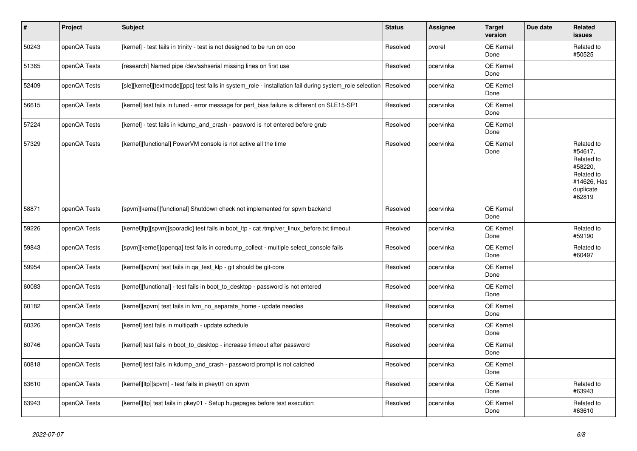| $\vert$ # | Project      | <b>Subject</b>                                                                                          | <b>Status</b> | Assignee  | <b>Target</b><br>version | Due date | Related<br><b>issues</b>                                                                           |
|-----------|--------------|---------------------------------------------------------------------------------------------------------|---------------|-----------|--------------------------|----------|----------------------------------------------------------------------------------------------------|
| 50243     | openQA Tests | [kernel] - test fails in trinity - test is not designed to be run on ooo                                | Resolved      | pvorel    | QE Kernel<br>Done        |          | Related to<br>#50525                                                                               |
| 51365     | openQA Tests | [research] Named pipe /dev/sshserial missing lines on first use                                         | Resolved      | pcervinka | QE Kernel<br>Done        |          |                                                                                                    |
| 52409     | openQA Tests | [sle][kernel][textmode][ppc] test fails in system_role - installation fail during system_role selection | Resolved      | pcervinka | QE Kernel<br>Done        |          |                                                                                                    |
| 56615     | openQA Tests | [kernel] test fails in tuned - error message for perf_bias failure is different on SLE15-SP1            | Resolved      | pcervinka | QE Kernel<br>Done        |          |                                                                                                    |
| 57224     | openQA Tests | [kernel] - test fails in kdump_and_crash - pasword is not entered before grub                           | Resolved      | pcervinka | QE Kernel<br>Done        |          |                                                                                                    |
| 57329     | openQA Tests | [kernel][functional] PowerVM console is not active all the time                                         | Resolved      | pcervinka | QE Kernel<br>Done        |          | Related to<br>#54617.<br>Related to<br>#58220,<br>Related to<br>#14626, Has<br>duplicate<br>#62819 |
| 58871     | openQA Tests | [spvm][kernel][functional] Shutdown check not implemented for spvm backend                              | Resolved      | pcervinka | QE Kernel<br>Done        |          |                                                                                                    |
| 59226     | openQA Tests | [kernel]ltp][spvm][sporadic] test fails in boot_ltp - cat /tmp/ver_linux_before.txt timeout             | Resolved      | pcervinka | QE Kernel<br>Done        |          | Related to<br>#59190                                                                               |
| 59843     | openQA Tests | [spvm][kernel][openqa] test fails in coredump_collect - multiple select_console fails                   | Resolved      | pcervinka | QE Kernel<br>Done        |          | Related to<br>#60497                                                                               |
| 59954     | openQA Tests | [kernel][spvm] test fails in qa_test_klp - git should be git-core                                       | Resolved      | pcervinka | QE Kernel<br>Done        |          |                                                                                                    |
| 60083     | openQA Tests | [kernel][functional] - test fails in boot_to_desktop - password is not entered                          | Resolved      | pcervinka | QE Kernel<br>Done        |          |                                                                                                    |
| 60182     | openQA Tests | [kernel][spvm] test fails in lvm no separate home - update needles                                      | Resolved      | pcervinka | QE Kernel<br>Done        |          |                                                                                                    |
| 60326     | openQA Tests | [kernel] test fails in multipath - update schedule                                                      | Resolved      | pcervinka | QE Kernel<br>Done        |          |                                                                                                    |
| 60746     | openQA Tests | [kernel] test fails in boot_to_desktop - increase timeout after password                                | Resolved      | pcervinka | QE Kernel<br>Done        |          |                                                                                                    |
| 60818     | openQA Tests | [kernel] test fails in kdump and crash - password prompt is not catched                                 | Resolved      | pcervinka | QE Kernel<br>Done        |          |                                                                                                    |
| 63610     | openQA Tests | [kernel][ltp][spvm] - test fails in pkey01 on spvm                                                      | Resolved      | pcervinka | QE Kernel<br>Done        |          | Related to<br>#63943                                                                               |
| 63943     | openQA Tests | [kernel][ltp] test fails in pkey01 - Setup hugepages before test execution                              | Resolved      | pcervinka | QE Kernel<br>Done        |          | Related to<br>#63610                                                                               |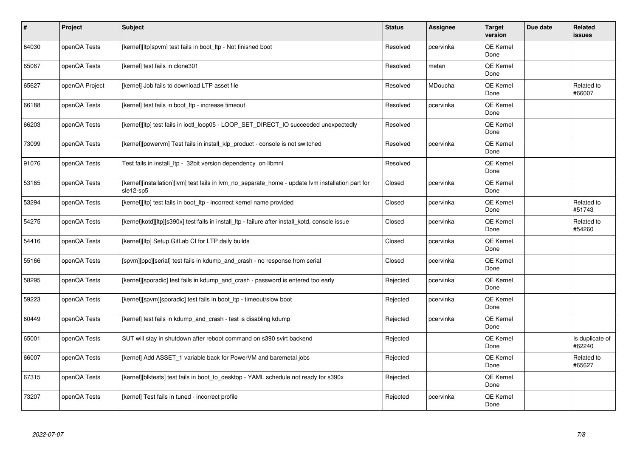| $\sharp$ | Project        | <b>Subject</b>                                                                                                 | <b>Status</b> | Assignee  | <b>Target</b><br>version | Due date | Related<br>issues         |
|----------|----------------|----------------------------------------------------------------------------------------------------------------|---------------|-----------|--------------------------|----------|---------------------------|
| 64030    | openQA Tests   | [kernel][ltp]spvm] test fails in boot Itp - Not finished boot                                                  | Resolved      | pcervinka | <b>QE Kernel</b><br>Done |          |                           |
| 65067    | openQA Tests   | [kernel] test fails in clone301                                                                                | Resolved      | metan     | QE Kernel<br>Done        |          |                           |
| 65627    | openQA Project | [kernel] Job fails to download LTP asset file                                                                  | Resolved      | MDoucha   | <b>QE Kernel</b><br>Done |          | Related to<br>#66007      |
| 66188    | openQA Tests   | [kernel] test fails in boot_ltp - increase timeout                                                             | Resolved      | pcervinka | QE Kernel<br>Done        |          |                           |
| 66203    | openQA Tests   | [kernel][ltp] test fails in ioctl_loop05 - LOOP_SET_DIRECT_IO succeeded unexpectedly                           | Resolved      |           | QE Kernel<br>Done        |          |                           |
| 73099    | openQA Tests   | [kernel][powervm] Test fails in install klp product - console is not switched                                  | Resolved      | pcervinka | QE Kernel<br>Done        |          |                           |
| 91076    | openQA Tests   | Test fails in install ltp - 32bit version dependency on libmnl                                                 | Resolved      |           | QE Kernel<br>Done        |          |                           |
| 53165    | openQA Tests   | [kernel][installation][lvm] test fails in lym no separate home - update lym installation part for<br>sle12-sp5 | Closed        | pcervinka | QE Kernel<br>Done        |          |                           |
| 53294    | openQA Tests   | [kernel][ltp] test fails in boot_ltp - incorrect kernel name provided                                          | Closed        | pcervinka | QE Kernel<br>Done        |          | Related to<br>#51743      |
| 54275    | openQA Tests   | [kernel]kotd][ltp][s390x] test fails in install ltp - failure after install kotd, console issue                | Closed        | pcervinka | QE Kernel<br>Done        |          | Related to<br>#54260      |
| 54416    | openQA Tests   | [kernel][ltp] Setup GitLab CI for LTP daily builds                                                             | Closed        | pcervinka | QE Kernel<br>Done        |          |                           |
| 55166    | openQA Tests   | [spvm][ppc][serial] test fails in kdump and crash - no response from serial                                    | Closed        | pcervinka | QE Kernel<br>Done        |          |                           |
| 58295    | openQA Tests   | [kernel][sporadic] test fails in kdump_and_crash - password is entered too early                               | Rejected      | pcervinka | QE Kernel<br>Done        |          |                           |
| 59223    | openQA Tests   | [kernel][spvm][sporadic] test fails in boot ltp - timeout/slow boot                                            | Rejected      | pcervinka | QE Kernel<br>Done        |          |                           |
| 60449    | openQA Tests   | [kernel] test fails in kdump_and_crash - test is disabling kdump                                               | Rejected      | pcervinka | QE Kernel<br>Done        |          |                           |
| 65001    | openQA Tests   | SUT will stay in shutdown after reboot command on s390 svirt backend                                           | Rejected      |           | QE Kernel<br>Done        |          | Is duplicate of<br>#62240 |
| 66007    | openQA Tests   | [kernel] Add ASSET_1 variable back for PowerVM and baremetal jobs                                              | Rejected      |           | QE Kernel<br>Done        |          | Related to<br>#65627      |
| 67315    | openQA Tests   | [kernel][blktests] test fails in boot_to_desktop - YAML schedule not ready for s390x                           | Rejected      |           | <b>QE Kernel</b><br>Done |          |                           |
| 73207    | openQA Tests   | [kernel] Test fails in tuned - incorrect profile                                                               | Rejected      | pcervinka | QE Kernel<br>Done        |          |                           |